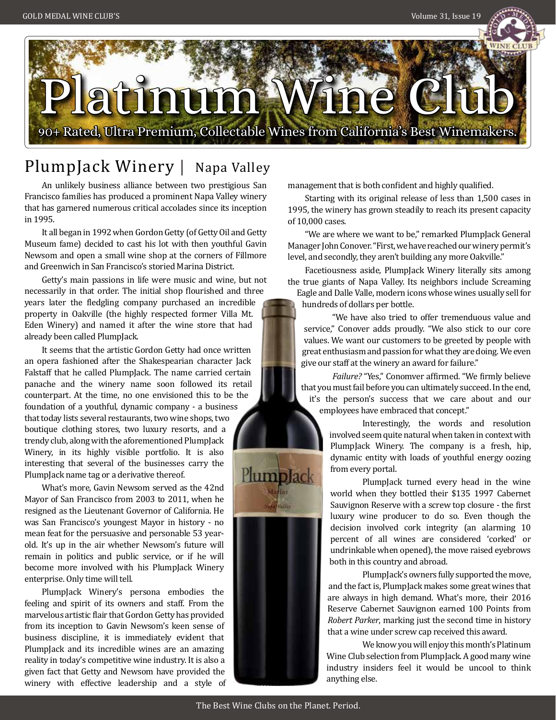

# PlumpJack Winery | Napa Valley

An unlikely business alliance between two prestigious San Francisco families has produced a prominent Napa Valley winery that has garnered numerous critical accolades since its inception in 1995.

It all began in 1992 when Gordon Getty (of Getty Oil and Getty Museum fame) decided to cast his lot with then youthful Gavin Newsom and open a small wine shop at the corners of Fillmore and Greenwich in San Francisco's storied Marina District.

Getty's main passions in life were music and wine, but not necessarily in that order. The initial shop flourished and three years later the fledgling company purchased an incredible property in Oakville (the highly respected former Villa Mt. Eden Winery) and named it after the wine store that had already been called PlumpJack.

It seems that the artistic Gordon Getty had once written an opera fashioned after the Shakespearian character Jack Falstaff that he called PlumpJack. The name carried certain panache and the winery name soon followed its retail counterpart. At the time, no one envisioned this to be the foundation of a youthful, dynamic company - a business that today lists several restaurants, two wine shops, two

boutique clothing stores, two luxury resorts, and a trendy club, along with the aforementioned PlumpJack Winery, in its highly visible portfolio. It is also interesting that several of the businesses carry the PlumpJack name tag or a derivative thereof.

What's more, Gavin Newsom served as the 42nd Mayor of San Francisco from 2003 to 2011, when he resigned as the Lieutenant Governor of California. He was San Francisco's youngest Mayor in history - no mean feat for the persuasive and personable 53 yearold. It's up in the air whether Newsom's future will remain in politics and public service, or if he will become more involved with his PlumpJack Winery enterprise. Only time will tell.

PlumpJack Winery's persona embodies the feeling and spirit of its owners and staff. From the marvelous artistic flair that Gordon Getty has provided from its inception to Gavin Newsom's keen sense of business discipline, it is immediately evident that PlumpJack and its incredible wines are an amazing reality in today's competitive wine industry. It is also a given fact that Getty and Newsom have provided the winery with effective leadership and a style of management that is both confident and highly qualified.

Starting with its original release of less than 1,500 cases in 1995, the winery has grown steadily to reach its present capacity of 10,000 cases.

"We are where we want to be," remarked PlumpJack General Manager John Conover. "First, we have reached our winery permit's level, and secondly, they aren't building any more Oakville."

Facetiousness aside, PlumpJack Winery literally sits among the true giants of Napa Valley. Its neighbors include Screaming Eagle and Dalle Valle, modern icons whose wines usually sell for hundreds of dollars per bottle.

 "We have also tried to offer tremenduous value and service," Conover adds proudly. "We also stick to our core values. We want our customers to be greeted by people with great enthusiasm and passion for what they are doing. We even give our staff at the winery an award for failure."

 *Failure?* "Yes," Conomver affirmed. "We firmly believe that you must fail before you can ultimately succeed. In the end, it's the person's success that we care about and our employees have embraced that concept."

> Interestingly, the words and resolution involved seem quite natural when taken in context with PlumpJack Winery. The company is a fresh, hip, dynamic entity with loads of youthful energy oozing from every portal.

> PlumpJack turned every head in the wine world when they bottled their \$135 1997 Cabernet Sauvignon Reserve with a screw top closure - the first luxury wine producer to do so. Even though the decision involved cork integrity (an alarming 10 percent of all wines are considered 'corked' or undrinkable when opened), the move raised eyebrows both in this country and abroad.

 PlumpJack's owners fully supported the move, and the fact is, PlumpJack makes some great wines that are always in high demand. What's more, their 2016 Reserve Cabernet Sauvignon earned 100 Points from *Robert Parker*, marking just the second time in history that a wine under screw cap received this award.

 We know you will enjoy this month's Platinum Wine Club selection from PlumpJack. A good many wine industry insiders feel it would be uncool to think anything else.

PlumpJack